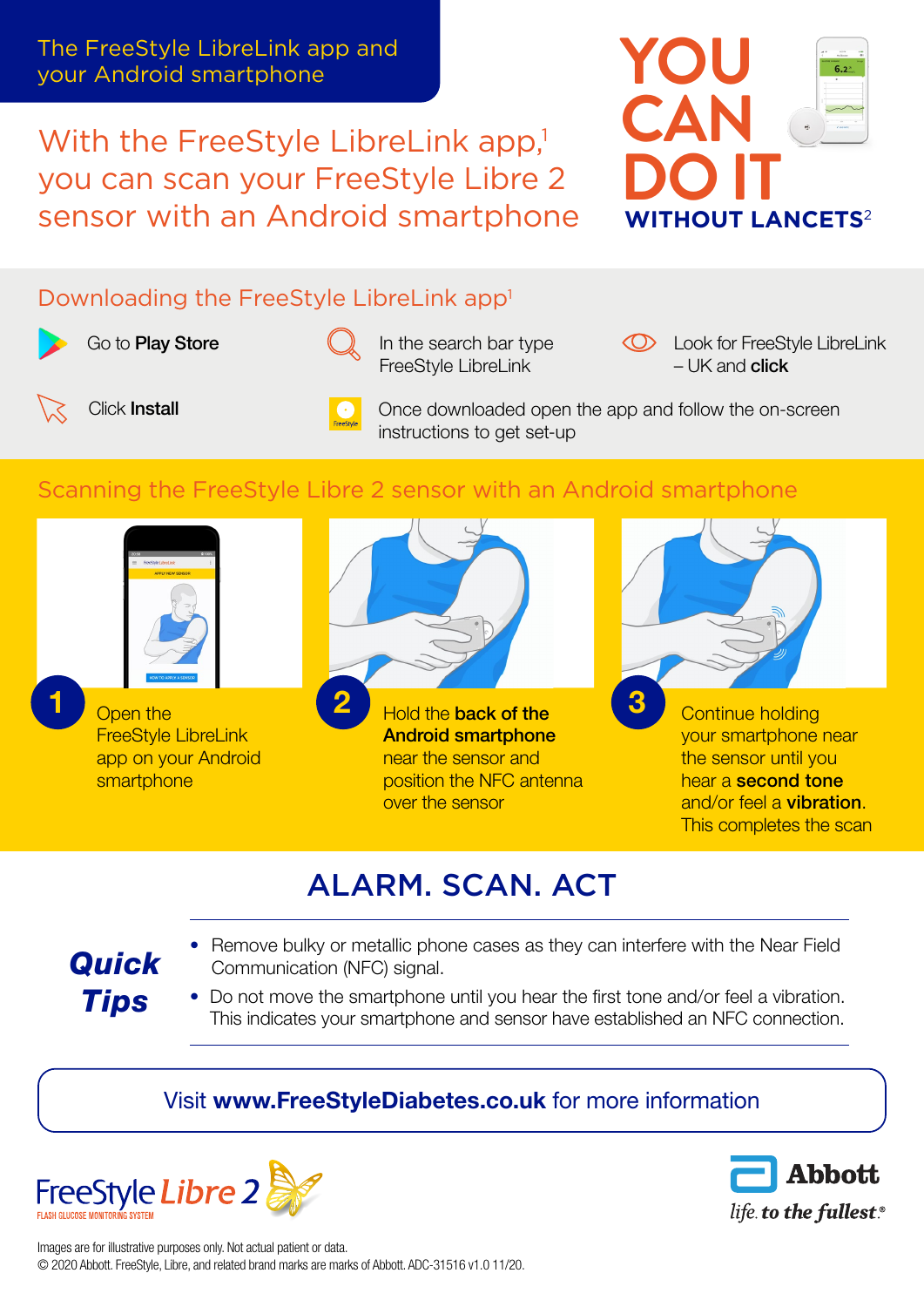The FreeStyle LibreLink app and your Android smartphone

With the FreeStyle LibreLink app,<sup>1</sup> you can scan your FreeStyle Libre 2 sensor with an Android smartphone



## Downloading the FreeStyle LibreLink app<sup>1</sup>

Go to **[Play Store](https://play.google.com/store/apps/details?id=com.freestylelibre.app.gb&hl=en_GB&gl=US)** 



In the search bar type FreeStyle LibreLink

**CO** Look for FreeStyle LibreLink – UK and **click** 



Once downloaded open the app and follow the on-screen instructions to get set-up

# Scanning the FreeStyle Libre 2 sensor with an Android smartphone



Open the FreeStyle LibreLink app on your Android smartphone



Android smartphone near the sensor and position the NFC antenna over the sensor



Continue holding your smartphone near the sensor until you hear a second tone and/or feel a vibration. This completes the scan

# ALARM. SCAN. ACT

#### • Remove bulky or metallic phone cases as they can interfere with the Near Field Communication (NFC) signal.

• Do not move the smartphone until you hear the first tone and/or feel a vibration. This indicates your smartphone and sensor have established an NFC connection.

## Visit [www.FreeStyleDiabetes.co.uk](http://www.FreeStyleDiabetes.co.uk) for more information



*Quick* 

*Tips*